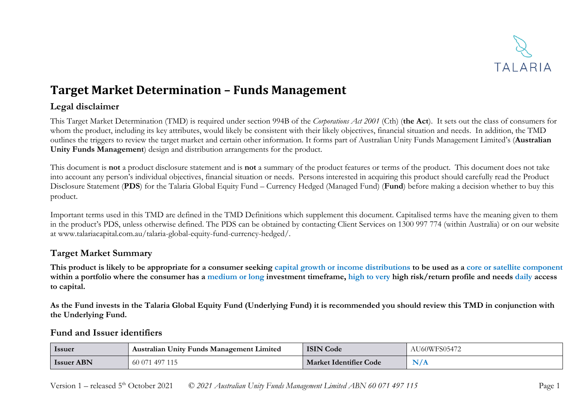

## **Target Market Determination – Funds Management**

## **Legal disclaimer**

This Target Market Determination (TMD) is required under section 994B of the *Corporations Act 2001* (Cth) (**the Act**). It sets out the class of consumers for whom the product, including its key attributes, would likely be consistent with their likely objectives, financial situation and needs. In addition, the TMD outlines the triggers to review the target market and certain other information. It forms part of Australian Unity Funds Management Limited's (**Australian Unity Funds Management**) design and distribution arrangements for the product.

This document is **not** a product disclosure statement and is **not** a summary of the product features or terms of the product. This document does not take into account any person's individual objectives, financial situation or needs. Persons interested in acquiring this product should carefully read the Product Disclosure Statement (**PDS**) for the Talaria Global Equity Fund – Currency Hedged (Managed Fund) (**Fund**) before making a decision whether to buy this product.

Important terms used in this TMD are defined in the TMD Definitions which supplement this document. Capitalised terms have the meaning given to them in the product's PDS, unless otherwise defined. The PDS can be obtained by contacting Client Services on 1300 997 774 (within Australia) or on our website at www.talariacapital.com.au/talaria-global-equity-fund-currency-hedged/.

## **Target Market Summary**

**This product is likely to be appropriate for a consumer seeking capital growth or income distributions to be used as a core or satellite component within a portfolio where the consumer has a medium or long investment timeframe, high to very high risk/return profile and needs daily access to capital.**

**As the Fund invests in the Talaria Global Equity Fund (Underlying Fund) it is recommended you should review this TMD in conjunction with the Underlying Fund.**

#### **Fund and Issuer identifiers**

| Issuer            | <b>Australian Unity Funds Management Limited</b> | <b>ISIN Code</b>              | AU60WFS05472 |
|-------------------|--------------------------------------------------|-------------------------------|--------------|
| <b>Issuer ABN</b> | 60 071 497 115                                   | <b>Market Identifier Code</b> | NI/4         |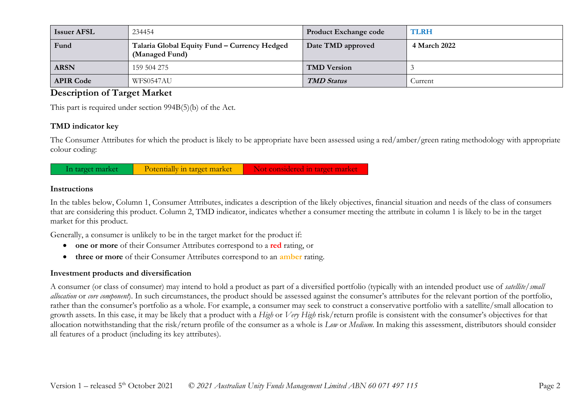| <b>Issuer AFSL</b> | 234454                                                         | <b>Product Exchange code</b> | <b>TLRH</b>  |
|--------------------|----------------------------------------------------------------|------------------------------|--------------|
| Fund               | Talaria Global Equity Fund - Currency Hedged<br>(Managed Fund) | Date TMD approved            | 4 March 2022 |
| <b>ARSN</b>        | 159 504 275                                                    | <b>TMD</b> Version           |              |
| <b>APIR Code</b>   | WFS0547AU                                                      | <b>TMD Status</b>            | Current      |

## **Description of Target Market**

This part is required under section 994B(5)(b) of the Act.

#### **TMD indicator key**

The Consumer Attributes for which the product is likely to be appropriate have been assessed using a red/amber/green rating methodology with appropriate colour coding:



#### **Instructions**

In the tables below, Column 1, Consumer Attributes, indicates a description of the likely objectives, financial situation and needs of the class of consumers that are considering this product. Column 2, TMD indicator, indicates whether a consumer meeting the attribute in column 1 is likely to be in the target market for this product.

Generally, a consumer is unlikely to be in the target market for the product if:

- **one or more** of their Consumer Attributes correspond to a **red** rating, or
- **three or more** of their Consumer Attributes correspond to an **amber** rating.

#### **Investment products and diversification**

A consumer (or class of consumer) may intend to hold a product as part of a diversified portfolio (typically with an intended product use of *satellite/small allocation* or *core component*). In such circumstances, the product should be assessed against the consumer's attributes for the relevant portion of the portfolio, rather than the consumer's portfolio as a whole. For example, a consumer may seek to construct a conservative portfolio with a satellite/small allocation to growth assets. In this case, it may be likely that a product with a *High* or *Very High* risk/return profile is consistent with the consumer's objectives for that allocation notwithstanding that the risk/return profile of the consumer as a whole is *Low* or *Medium*. In making this assessment, distributors should consider all features of a product (including its key attributes).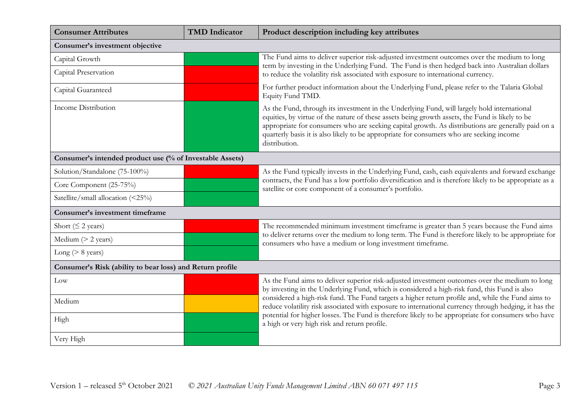| <b>Consumer Attributes</b>                                | <b>TMD</b> Indicator | Product description including key attributes                                                                                                                                                                                                                                                                                                                                                                      |  |
|-----------------------------------------------------------|----------------------|-------------------------------------------------------------------------------------------------------------------------------------------------------------------------------------------------------------------------------------------------------------------------------------------------------------------------------------------------------------------------------------------------------------------|--|
| Consumer's investment objective                           |                      |                                                                                                                                                                                                                                                                                                                                                                                                                   |  |
| Capital Growth                                            |                      | The Fund aims to deliver superior risk-adjusted investment outcomes over the medium to long<br>term by investing in the Underlying Fund. The Fund is then hedged back into Australian dollars                                                                                                                                                                                                                     |  |
| Capital Preservation                                      |                      | to reduce the volatility risk associated with exposure to international currency.                                                                                                                                                                                                                                                                                                                                 |  |
| Capital Guaranteed                                        |                      | For further product information about the Underlying Fund, please refer to the Talaria Global<br>Equity Fund TMD.                                                                                                                                                                                                                                                                                                 |  |
| <b>Income Distribution</b>                                |                      | As the Fund, through its investment in the Underlying Fund, will largely hold international<br>equities, by virtue of the nature of these assets being growth assets, the Fund is likely to be<br>appropriate for consumers who are seeking capital growth. As distributions are generally paid on a<br>quarterly basis it is also likely to be appropriate for consumers who are seeking income<br>distribution. |  |
| Consumer's intended product use (% of Investable Assets)  |                      |                                                                                                                                                                                                                                                                                                                                                                                                                   |  |
| Solution/Standalone (75-100%)                             |                      | As the Fund typically invests in the Underlying Fund, cash, cash equivalents and forward exchange                                                                                                                                                                                                                                                                                                                 |  |
| Core Component (25-75%)                                   |                      | contracts, the Fund has a low portfolio diversification and is therefore likely to be appropriate as a<br>satellite or core component of a consumer's portfolio.                                                                                                                                                                                                                                                  |  |
| Satellite/small allocation (<25%)                         |                      |                                                                                                                                                                                                                                                                                                                                                                                                                   |  |
| Consumer's investment timeframe                           |                      |                                                                                                                                                                                                                                                                                                                                                                                                                   |  |
| Short ( $\leq$ 2 years)                                   |                      | The recommended minimum investment timeframe is greater than 5 years because the Fund aims                                                                                                                                                                                                                                                                                                                        |  |
| Medium $(> 2$ years)                                      |                      | to deliver returns over the medium to long term. The Fund is therefore likely to be appropriate for<br>consumers who have a medium or long investment timeframe.                                                                                                                                                                                                                                                  |  |
| Long ( $> 8$ years)                                       |                      |                                                                                                                                                                                                                                                                                                                                                                                                                   |  |
| Consumer's Risk (ability to bear loss) and Return profile |                      |                                                                                                                                                                                                                                                                                                                                                                                                                   |  |
| Low                                                       |                      | As the Fund aims to deliver superior risk-adjusted investment outcomes over the medium to long<br>by investing in the Underlying Fund, which is considered a high-risk fund, this Fund is also<br>considered a high-risk fund. The Fund targets a higher return profile and, while the Fund aims to<br>reduce volatility risk associated with exposure to international currency through hedging, it has the      |  |
| Medium                                                    |                      |                                                                                                                                                                                                                                                                                                                                                                                                                   |  |
| High                                                      |                      | potential for higher losses. The Fund is therefore likely to be appropriate for consumers who have<br>a high or very high risk and return profile.                                                                                                                                                                                                                                                                |  |
| Very High                                                 |                      |                                                                                                                                                                                                                                                                                                                                                                                                                   |  |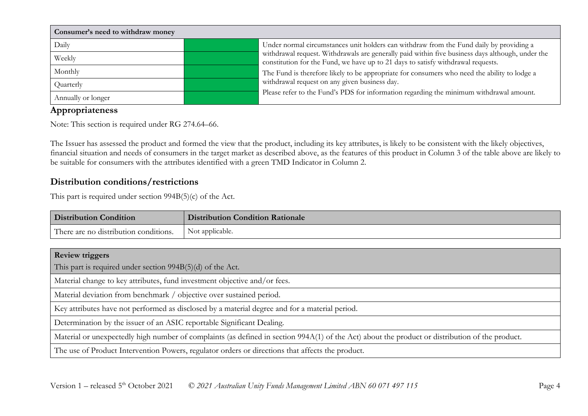| Consumer's need to withdraw money |                                                                                                                                                                                      |  |  |
|-----------------------------------|--------------------------------------------------------------------------------------------------------------------------------------------------------------------------------------|--|--|
| Daily                             | Under normal circumstances unit holders can withdraw from the Fund daily by providing a                                                                                              |  |  |
| Weekly                            | withdrawal request. Withdrawals are generally paid within five business days although, under the<br>constitution for the Fund, we have up to 21 days to satisfy withdrawal requests. |  |  |
| Monthly                           | The Fund is therefore likely to be appropriate for consumers who need the ability to lodge a                                                                                         |  |  |
| Quarterly                         | withdrawal request on any given business day.                                                                                                                                        |  |  |
| Annually or longer                | Please refer to the Fund's PDS for information regarding the minimum withdrawal amount.                                                                                              |  |  |

## **Appropriateness**

Note: This section is required under RG 274.64–66.

The Issuer has assessed the product and formed the view that the product, including its key attributes, is likely to be consistent with the likely objectives, financial situation and needs of consumers in the target market as described above, as the features of this product in Column 3 of the table above are likely to be suitable for consumers with the attributes identified with a green TMD Indicator in Column 2.

### **Distribution conditions/restrictions**

This part is required under section 994B(5)(c) of the Act.

| <b>Distribution Condition</b>                                                                                                                   | <b>Distribution Condition Rationale</b> |  |  |
|-------------------------------------------------------------------------------------------------------------------------------------------------|-----------------------------------------|--|--|
| There are no distribution conditions.                                                                                                           | Not applicable.                         |  |  |
|                                                                                                                                                 |                                         |  |  |
| <b>Review triggers</b>                                                                                                                          |                                         |  |  |
| This part is required under section $994B(5)(d)$ of the Act.                                                                                    |                                         |  |  |
| Material change to key attributes, fund investment objective and/or fees.                                                                       |                                         |  |  |
| Material deviation from benchmark / objective over sustained period.                                                                            |                                         |  |  |
| Key attributes have not performed as disclosed by a material degree and for a material period.                                                  |                                         |  |  |
| Determination by the issuer of an ASIC reportable Significant Dealing.                                                                          |                                         |  |  |
| Material or unexpectedly high number of complaints (as defined in section 994A(1) of the Act) about the product or distribution of the product. |                                         |  |  |
| The use of Product Intervention Powers, regulator orders or directions that affects the product.                                                |                                         |  |  |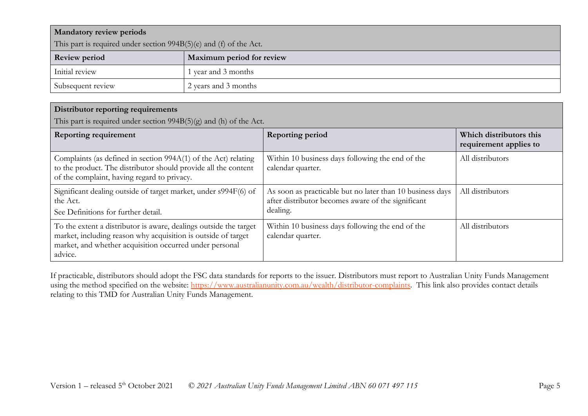| <b>Mandatory review periods</b>                                      |                           |  |
|----------------------------------------------------------------------|---------------------------|--|
| This part is required under section $994B(5)(e)$ and (f) of the Act. |                           |  |
| <b>Review period</b>                                                 | Maximum period for review |  |
| Initial review                                                       | 1 year and 3 months       |  |
| Subsequent review                                                    | 2 years and 3 months      |  |

## **Distributor reporting requirements**

This part is required under section 994B(5)(g) and (h) of the Act.

| <b>Reporting requirement</b>                                                                                                                                                                             | <b>Reporting period</b>                                                                                                     | Which distributors this<br>requirement applies to |
|----------------------------------------------------------------------------------------------------------------------------------------------------------------------------------------------------------|-----------------------------------------------------------------------------------------------------------------------------|---------------------------------------------------|
| Complaints (as defined in section 994A(1) of the Act) relating<br>to the product. The distributor should provide all the content<br>of the complaint, having regard to privacy.                          | Within 10 business days following the end of the<br>calendar quarter.                                                       | All distributors                                  |
| Significant dealing outside of target market, under s994F(6) of<br>the Act.<br>See Definitions for further detail.                                                                                       | As soon as practicable but no later than 10 business days<br>after distributor becomes aware of the significant<br>dealing. | All distributors                                  |
| To the extent a distributor is aware, dealings outside the target<br>market, including reason why acquisition is outside of target<br>market, and whether acquisition occurred under personal<br>advice. | Within 10 business days following the end of the<br>calendar quarter.                                                       | All distributors                                  |

If practicable, distributors should adopt the FSC data standards for reports to the issuer. Distributors must report to Australian Unity Funds Management using the method specified on the website: [https://www.australianunity.com.au/wealth/distributor-complaints.](https://www.australianunity.com.au/wealth/distributor-complaints) This link also provides contact details relating to this TMD for Australian Unity Funds Management.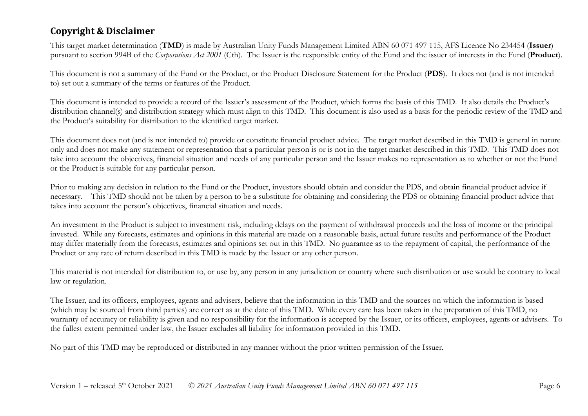## **Copyright & Disclaimer**

This target market determination (**TMD**) is made by Australian Unity Funds Management Limited ABN 60 071 497 115, AFS Licence No 234454 (**Issuer**) pursuant to section 994B of the *Corporations Act 2001* (Cth). The Issuer is the responsible entity of the Fund and the issuer of interests in the Fund (**Product**).

This document is not a summary of the Fund or the Product, or the Product Disclosure Statement for the Product (**PDS**). It does not (and is not intended to) set out a summary of the terms or features of the Product.

This document is intended to provide a record of the Issuer's assessment of the Product, which forms the basis of this TMD. It also details the Product's distribution channel(s) and distribution strategy which must align to this TMD. This document is also used as a basis for the periodic review of the TMD and the Product's suitability for distribution to the identified target market.

This document does not (and is not intended to) provide or constitute financial product advice. The target market described in this TMD is general in nature only and does not make any statement or representation that a particular person is or is not in the target market described in this TMD. This TMD does not take into account the objectives, financial situation and needs of any particular person and the Issuer makes no representation as to whether or not the Fund or the Product is suitable for any particular person.

Prior to making any decision in relation to the Fund or the Product, investors should obtain and consider the PDS, and obtain financial product advice if necessary. This TMD should not be taken by a person to be a substitute for obtaining and considering the PDS or obtaining financial product advice that takes into account the person's objectives, financial situation and needs.

An investment in the Product is subject to investment risk, including delays on the payment of withdrawal proceeds and the loss of income or the principal invested. While any forecasts, estimates and opinions in this material are made on a reasonable basis, actual future results and performance of the Product may differ materially from the forecasts, estimates and opinions set out in this TMD. No guarantee as to the repayment of capital, the performance of the Product or any rate of return described in this TMD is made by the Issuer or any other person.

This material is not intended for distribution to, or use by, any person in any jurisdiction or country where such distribution or use would be contrary to local law or regulation.

The Issuer, and its officers, employees, agents and advisers, believe that the information in this TMD and the sources on which the information is based (which may be sourced from third parties) are correct as at the date of this TMD. While every care has been taken in the preparation of this TMD, no warranty of accuracy or reliability is given and no responsibility for the information is accepted by the Issuer, or its officers, employees, agents or advisers. To the fullest extent permitted under law, the Issuer excludes all liability for information provided in this TMD.

No part of this TMD may be reproduced or distributed in any manner without the prior written permission of the Issuer.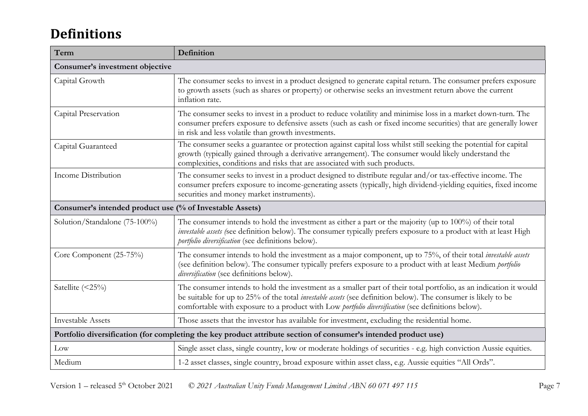# **Definitions**

| Term                                                                                                            | Definition                                                                                                                                                                                                                                                                                                                                      |  |
|-----------------------------------------------------------------------------------------------------------------|-------------------------------------------------------------------------------------------------------------------------------------------------------------------------------------------------------------------------------------------------------------------------------------------------------------------------------------------------|--|
| Consumer's investment objective                                                                                 |                                                                                                                                                                                                                                                                                                                                                 |  |
| Capital Growth                                                                                                  | The consumer seeks to invest in a product designed to generate capital return. The consumer prefers exposure<br>to growth assets (such as shares or property) or otherwise seeks an investment return above the current<br>inflation rate.                                                                                                      |  |
| Capital Preservation                                                                                            | The consumer seeks to invest in a product to reduce volatility and minimise loss in a market down-turn. The<br>consumer prefers exposure to defensive assets (such as cash or fixed income securities) that are generally lower<br>in risk and less volatile than growth investments.                                                           |  |
| Capital Guaranteed                                                                                              | The consumer seeks a guarantee or protection against capital loss whilst still seeking the potential for capital<br>growth (typically gained through a derivative arrangement). The consumer would likely understand the<br>complexities, conditions and risks that are associated with such products.                                          |  |
| <b>Income Distribution</b>                                                                                      | The consumer seeks to invest in a product designed to distribute regular and/or tax-effective income. The<br>consumer prefers exposure to income-generating assets (typically, high dividend-yielding equities, fixed income<br>securities and money market instruments).                                                                       |  |
| Consumer's intended product use (% of Investable Assets)                                                        |                                                                                                                                                                                                                                                                                                                                                 |  |
| Solution/Standalone (75-100%)                                                                                   | The consumer intends to hold the investment as either a part or the majority (up to 100%) of their total<br>investable assets (see definition below). The consumer typically prefers exposure to a product with at least High<br>portfolio diversification (see definitions below).                                                             |  |
| Core Component (25-75%)                                                                                         | The consumer intends to hold the investment as a major component, up to 75%, of their total <i>investable assets</i><br>(see definition below). The consumer typically prefers exposure to a product with at least Medium portfolio<br>diversification (see definitions below).                                                                 |  |
| Satellite (<25%)                                                                                                | The consumer intends to hold the investment as a smaller part of their total portfolio, as an indication it would<br>be suitable for up to 25% of the total <i>investable assets</i> (see definition below). The consumer is likely to be<br>comfortable with exposure to a product with Low portfolio diversification (see definitions below). |  |
| <b>Investable Assets</b>                                                                                        | Those assets that the investor has available for investment, excluding the residential home.                                                                                                                                                                                                                                                    |  |
| Portfolio diversification (for completing the key product attribute section of consumer's intended product use) |                                                                                                                                                                                                                                                                                                                                                 |  |
| Low                                                                                                             | Single asset class, single country, low or moderate holdings of securities - e.g. high conviction Aussie equities.                                                                                                                                                                                                                              |  |
| Medium                                                                                                          | 1-2 asset classes, single country, broad exposure within asset class, e.g. Aussie equities "All Ords".                                                                                                                                                                                                                                          |  |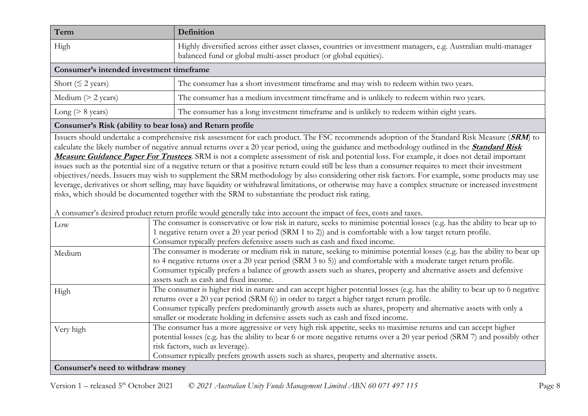| Term                         | Definition                                                                                                                                                                           |  |  |
|------------------------------|--------------------------------------------------------------------------------------------------------------------------------------------------------------------------------------|--|--|
| High                         | Highly diversified across either asset classes, countries or investment managers, e.g. Australian multi-manager<br>balanced fund or global multi-asset product (or global equities). |  |  |
|                              | Consumer's intended investment timeframe                                                                                                                                             |  |  |
| Short ( $\leq$ 2 years)      | The consumer has a short investment timeframe and may wish to redeem within two years.                                                                                               |  |  |
| Medium $(> 2 \text{ years})$ | The consumer has a medium investment timeframe and is unlikely to redeem within two years.                                                                                           |  |  |
| Long ( $> 8$ years)          | The consumer has a long investment timeframe and is unlikely to redeem within eight years.                                                                                           |  |  |

#### **Consumer's Risk (ability to bear loss) and Return profile**

Issuers should undertake a comprehensive risk assessment for each product. The FSC recommends adoption of the Standard Risk Measure (**SRM**) to calculate the likely number of negative annual returns over a 20 year period, using the guidance and methodology outlined in the **[Standard Risk](https://protect-eu.mimecast.com/s/pqPaCwVNmtGRQpvMFVpVgu?domain=urldefense.com)  [Measure Guidance Paper For Trustees](https://protect-eu.mimecast.com/s/pqPaCwVNmtGRQpvMFVpVgu?domain=urldefense.com)**. SRM is not a complete assessment of risk and potential loss. For example, it does not detail important issues such as the potential size of a negative return or that a positive return could still be less than a consumer requires to meet their investment objectives/needs. Issuers may wish to supplement the SRM methodology by also considering other risk factors. For example, some products may use leverage, derivatives or short selling, may have liquidity or withdrawal limitations, or otherwise may have a complex structure or increased investment risks, which should be documented together with the SRM to substantiate the product risk rating.

A consumer's desired product return profile would generally take into account the impact of fees, costs and taxes.

| Low                               | The consumer is conservative or low risk in nature, seeks to minimise potential losses (e.g. has the ability to bear up to  |
|-----------------------------------|-----------------------------------------------------------------------------------------------------------------------------|
|                                   | 1 negative return over a 20 year period (SRM 1 to 2)) and is comfortable with a low target return profile.                  |
|                                   | Consumer typically prefers defensive assets such as cash and fixed income.                                                  |
| Medium                            | The consumer is moderate or medium risk in nature, seeking to minimise potential losses (e.g. has the ability to bear up    |
|                                   | to 4 negative returns over a 20 year period (SRM 3 to 5)) and comfortable with a moderate target return profile.            |
|                                   | Consumer typically prefers a balance of growth assets such as shares, property and alternative assets and defensive         |
|                                   | assets such as cash and fixed income.                                                                                       |
| High                              | The consumer is higher risk in nature and can accept higher potential losses (e.g. has the ability to bear up to 6 negative |
|                                   | returns over a 20 year period (SRM 6)) in order to target a higher target return profile.                                   |
|                                   | Consumer typically prefers predominantly growth assets such as shares, property and alternative assets with only a          |
|                                   | smaller or moderate holding in defensive assets such as cash and fixed income.                                              |
| Very high                         | The consumer has a more aggressive or very high risk appetite, seeks to maximise returns and can accept higher              |
|                                   | potential losses (e.g. has the ability to bear 6 or more negative returns over a 20 year period (SRM 7) and possibly other  |
|                                   | risk factors, such as leverage).                                                                                            |
|                                   | Consumer typically prefers growth assets such as shares, property and alternative assets.                                   |
| Consumer's need to withdraw money |                                                                                                                             |